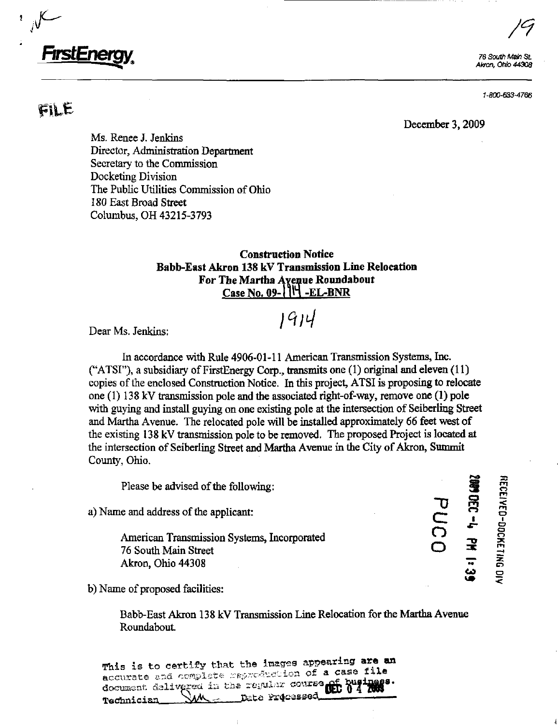# *FirstEnerg*

 $FILE$ 

76 South Main St. Akron, Ohio 44308

1-800-633-4766

December 3,2009

Ms. Renee J. Jenkins Director, Administration Department Secretary to the Commission Docketing Division The Public Utilities Commission of Ohio 180 East Broad Street Columbus, OH 43215-3793

## Construction Notice Babb-East Akron 138 kV Transmission Line Relocation For The Martha Avenue Roundabout Case No. 09- $1$ <sup>\\\llul</sup> -EL-BNR

 $1914$ 

 $\sqrt{9}$ 

Dear Ms. Jenkins:

In accordance with Rule 4906-01-11 American Transmission Systems, Inc. ("ATSI"), a subsidiary of FirstEnergy Corp., transmits one (1) origmal and eleven (11) copies of the enclosed Construction Notice. In this project, ATSI is proposing to relocate one (1) 138 kV transmission pole and the associated right-of-way, remove one (1) pole with guying and install guying on one existing pole at the intersection of Seiberling Street and Martha Avenue. The relocated pole will be installed approximately 66 feet west of the existing 138 kV transmission pole to be removed. The proposed Project is located at the intersection of Seiberling Street and Martha Avenue in the City of Akron, Summit County, Ohio.

Please be advised of the following:

a) and address of the application.  $\Box$ 

Please be advised of the following:<br>  $\overline{C}$  and address of the applicant:<br>
American Transmission Systems, Incorporated<br>
76 South Main Street<br>
Akron, Ohio 44308<br>  $\overline{C}$  - $\overline{C}$  - $\overline{C}$  - $\overline{C}$  - $\overline{C}$  - $\overline{C}$ 76 South Main Street Akron, Ohio 44308

b) Name of proposed facilities:

Babb-East Akron 138 kV Transmission Line Relocation for the Martha Avenue Roundabout.

This is to certify that the images appearing are an ^^\_,^\_^- -,., ^ ^,.j^..,-f ..^^, -f-orc'^^cuion of a casa tll a document delivered in the repulse course of business. Technician

**MODEC-4 PM 1:** PUC0 ین<br>ها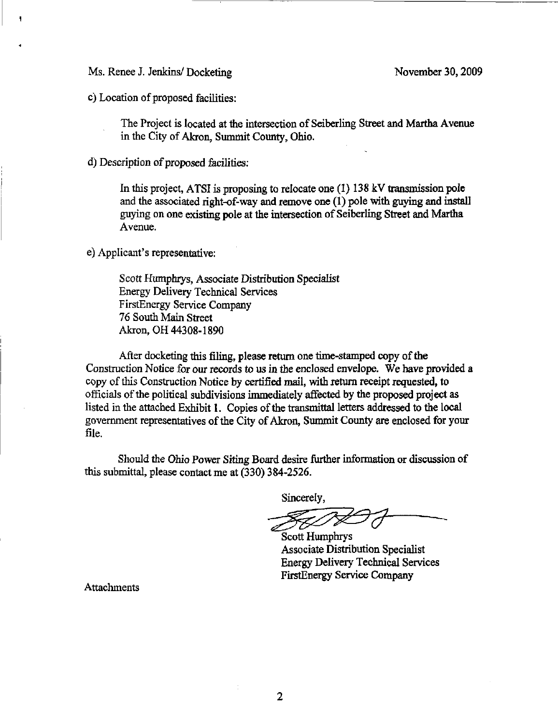Ms. Renee J. Jenkins/ Docketing November 30, 2009

c) Location of proposed facilities:

The Project is located at the intersection of Seiberling Street and Martha Avenue in the City of Akron, Summit County, Ohio.

d) Description of proposed facilities:

In this project, ATSI is proposing to relocate one (I) 138 kV transmission pole and the associated right-of-way and remove one (1) pole with guying and install guying on one existing pole at the intersection of Seiberlmg Street and Martha Avenue.

e) Applicant's representative:

Scott Humphrys, Associate Distribution Specialist Energy DeHvery Technical Services FirstEnergy Service Company 76 South Main Street Akron, OH 44308-1890

After docketing this filing, please return one time-stamped copy of the Construction Notice for our records to us in the enclosed envelope. We have provided a copy of this Construction Notice by certified mail, with return receipt requested, to officials of the political subdivisions immediately affected by the proposed project as listed in the attached Exhibit 1. Copies of the transmittal letters addressed to the local government representatives of the City of Akron, Simunit County are enclosed for your file.

Should the Ohio Power Siting Board desire further information or discussion of this submittal, please contact me at (330) 384-2526.

Sincerely,

Z,

Scott Humphrys Associate Distribution Specialist Energy DeHvery Technical Services FirstEnergy Service Company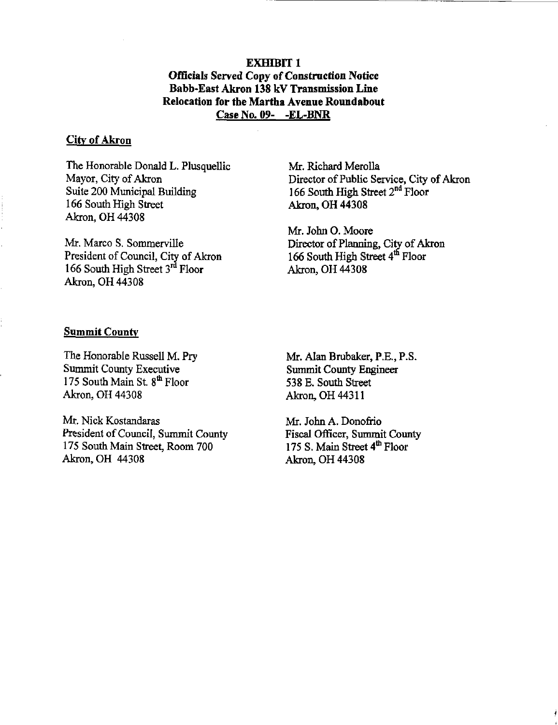**EXHIBIT 1** Officials Served Copy of Construction Notice Babb-East Akron 138 kV Transmission Line Relocation for the Martha Avenue Roundabout Case No. 09- -EL-BNR

#### City of Akron

The Honorable Donald L. Plusquellic Mayor, City of Akron Suite 200 Municipal Building 166 South High Street Akron, OH 44308

Mr. Marco S. Sommerville President of Council, City of Akron  $166$  South High Street  $3<sup>10</sup>$  Floor Akron, OH 44308

Mr. Richard Merolla Director of Public Service, City of Akron 166 South High Street  $2<sup>nd</sup>$  Floor Akron, OH 44308

Mr. John O. Moore Director of Planning, City of Akron 166 South High Street 4<sup>th</sup> Floor Akron, OH 44308

#### **Summit County**

The Honorable Russell M. Pry Summit County Executive 175 South Main St. 8<sup>th</sup> Floor Akron, OH 44308

Mr. Nick Kostandaras President of Council, Summit County 175 South Main Street, Room 700 Akron, OH 44308

Mr. Alan Brubaker, P.E., P.S. Summit County Engineer 538 E. South Street Akron, OH 44311

Mr. John A. Donofiio Fiscal Officer, Summit County 175 S. Main Street 4<sup>th</sup> Floor Akron, OH 44308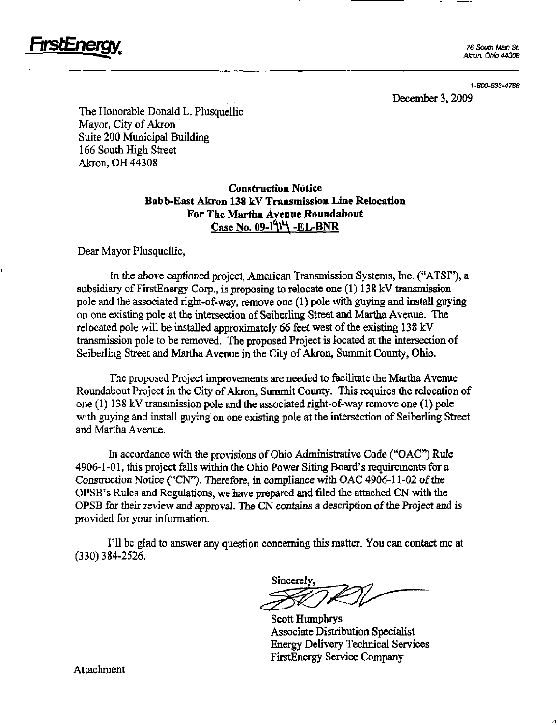

**Irsit-ne** 

1-800-633-4766

December 3,2009

The Honorable Donald L. Plusquellic Mayor, City of Akron Suite 200 Municipal Building 166 South High Street Akron, OH 44308

## Construction Notice Babb-East Akron 138 kV Transmission Line Relocation For The Martha Avenue Roundabout  $Case No. 09.1914 - EL-BNR$

Dear Mayor Plusquellic,

In the above captioned project, American Transmission Systems, Inc. ("ATSF\*), a subsidiary of FirstEnergy Corp., is proposing to relocate one  $(1)$  138 kV transmission pole and the associated right-of-way, remove one (1) pole with guying and install guying on one existing pole at the intersection of Seiberling Street and Martha Avenue. The relocated pole will be installed approximately 66 feet west of the existing 138 kV transmission pole to be removed. The proposed Project is located at the intersection of Seiberling Street and Martha Avenue in the City of Akron, Summit County, Ohio.

The proposed Project improvements are needed to facilitate the Martha Avenue Roundabout Project in the City of Akron, Summit County. This requires the relocation of one (1) 138 kV transmission pole and the associated right-of-way remove one (1) pole with guying and install guying on one existing pole at the intersection of Seiberling Street and Martha Avenue.

In accordance with the provisions of Ohio Administrative Code ("OAC") Rule 4906-1-01, this project falls within the Ohio Power Siting Board's requirements for a Construction Notice ("CN"). Therefore, in compliance with OAC 4906-11-02 of the OPSB's Rules and Regulations, we have prepared and filed the attached CN with the OPSB for their review and approval. The CN contains a description of the Project and is provided for your information.

I'll be glad to answer any question concerning this matter. You can contact me at (330)384-2526.

Sincerely;

Scott Humphrys Associate Distribution Specialist Energy Delivery Technical Services FirstEnergy Service Company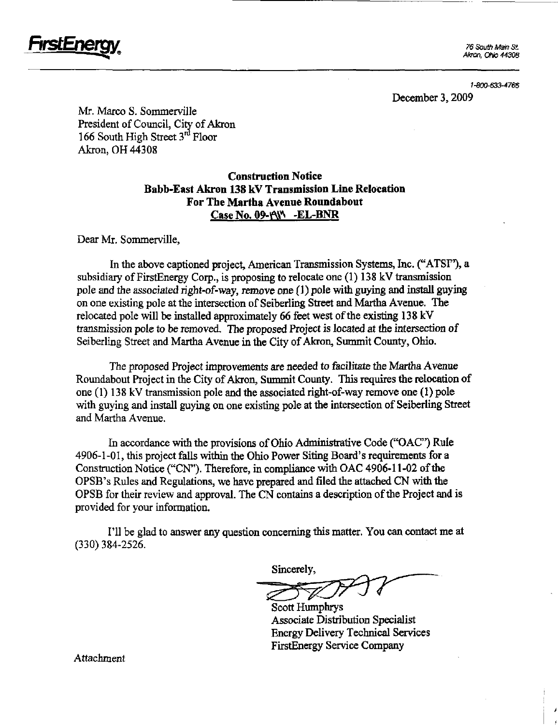

Akron. ONo 44308

1-800-633-4766

December 3,2009

Mr. Marco S. Sommerville President of Council, City of Akron 166 South High Street  $3<sup>rd</sup>$  Floor Akron, OH 44308

## Construction Notice Babb-East Akron 138 kV Transmission Line Relocation For The Martha Avenue Roundabout Case No. 09-PW -EL-BNR

Dear Mr. Sommerville,

In the above captioned project, American Transmission Systems, Inc. ("ATSI"), a subsidiary of FirstEnergy Corp., is proposing to relocate one (1) 138 kV transmission pole and the associated right-of-way, remove one  $(1)$  pole with guying and install guying on one existing pole at the intersection of Seiberling Street and Martha Avenue. The relocated pole will be installed approximately 66 feet west of the existing  $138 \text{ kV}$ transmission pole to be removed. The proposed Project is located at the intersection of Seiberling Street and Martha Avenue in the City of Akron, Summit County, Ohio.

The proposed Project improvements are needed to facilitate the Martha Avenue Roundabout Project in the City of Akron, Summit County. This requires the relocation of one (1) 138 kV transmission pole and the associated right-of-way remove one (1) pole with guying and install guying on one existing pole at the intersection of Seiberling Street and Martha Avenue.

In accordance with the provisions of Ohio Administrative Code ("OAC") Rule 4906-1-01, this project falls within the Ohio Power Siting Board's requirements for a Construction Notice ("CN"). Therefore, in compliance with OAC 4906-11-02 of the OPSB's Rules and Regulations, we have prepared and filed the attached CN with the OPSB for their review and approval. The CN contains a description of the Project and is provided for your information.

I'll be glad to answer any question conceming this matter. You can contact me at (330) 384-2526.

Sincerely,

Scott Humphrys Associate Distribution Specialist Energy Delivery Technical Services FirstEnergy Service Company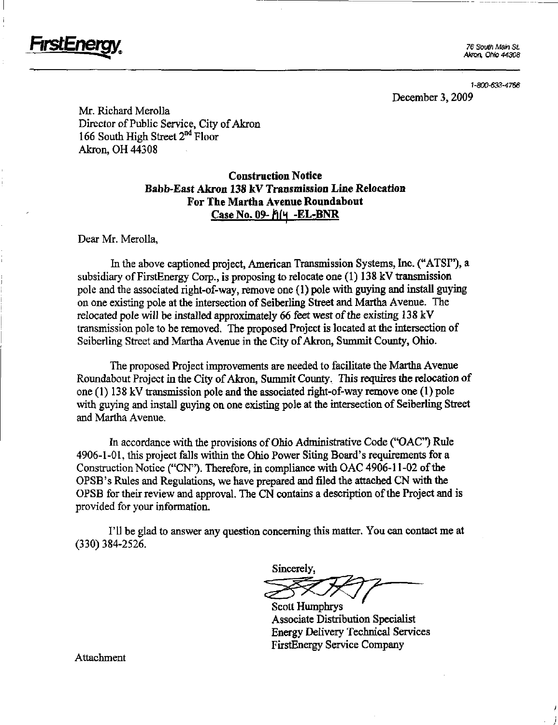

76 South Main St. Akrm. Ohio 44308

1-800-633-4766 December 3,2009

Mr. Richard Merolla Director of Public Service, City of Akron 166 South High Street  $2<sup>nd</sup>$  Floor Akron, OH 44308

## Construction Notice Babb-East Akron 138 kV Transmission Line Relocation For The Martha Avenue Roundabout  $Case$  No. 09- $f(4 - EL-BNR)$

Dear Mr. Merolla,

In the above captioned project, American Transmission Systems, Inc. ("ATSI"), a subsidiary of FirstEnergy Corp., is proposing to relocate one (1) 138 kV transmission pole and the associated right-of-way, remove one (1) pole with guying and install guying on one existing pole at the intersection of Seiberling Street and Martha Avenue. The relocated pole will be installed approximately 66 feet west of the existing 138 kV transmission pole to be removed. The proposed Project is located at the intersection of Seiberling Street and Martha Avenue in the City of Akron, Summit County, Ohio.

The proposed Project improvements are needed to facilitate the Martha Avenue Roundabout Project in the City of Akron, Summit County. This requires the relocation of one (1) 138 kV transmission pole and the associated right-of-way remove one (1) pole with guying and install guying on one existing pole at the intersection of Seiberling Street and Martha Avenue.

In accordance with the provisions of Ohio Administrative Code ("OAC") Rule 4906-1-01, this project falls within the Ohio Power Siting Board's requirements for a Construction Notice ("CN"). Therefore, in compliance with OAC 4906-11-02 of the OPSB's Rules and Regulations, we have prepared and filed the attached CN with the OPSB for their review and approval. The CN contains a description of the Project and is provided for your information.

I'll be glad to answer any question concerning this matter. You can contact me at (330)384-2526.

Sincerely,

Scott Humphrys Associate Distribution Specialist **Energy Delivery Technical Services** FirstEnergy Service Company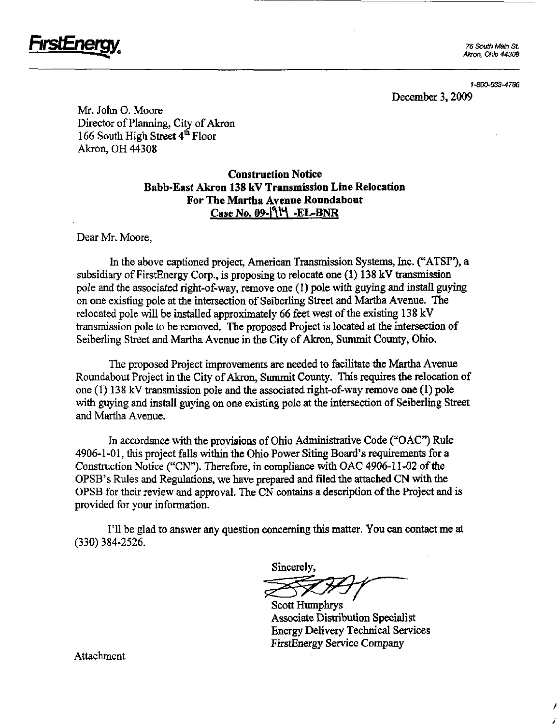

Akron. Ohio 44308

1-800-633-4766

December 3,2009

Mr. John 0. Moore Director of Planning, City of Akron 166 South High Street 4<sup>th</sup> Floor Akron, OH 44308

## Construction Notice Babb-East Akron 138 kV Transmission Line Relocation For The Martha Avenue Roundabout Case No. 09- $\mathcal{N}$  -EL-BNR

Dear Mr. Moore,

In the above captioned project, American Transmission Systems, Inc. ("ATSI"), a subsidiary of FirstEnergy Corp., is proposing to relocate one (1) 138 kV transmission pole and the associated right-of-way, remove one (1) pole with guying and install guying on one existing pole at the intersection of Seiberling Street and Martha Avenue. The relocated pole will be installed approximately 66 feet west of the existing  $138 \text{ kV}$ transmission pole to be removed. The proposed Project is located at the intersection of Seiberling Street and Martha Avenue in the City of Akron, Summit County, Ohio.

The proposed Project improvements are needed to facilitate the Martha Avenue Roundabout Project in the City of Akron, Summit County. This requires the relocation of one (1) 138 kV transmission pole and the associated right-of-way remove one (1) pole with guying and install guying on one existing pole at the intersection of Seiberling Street and Martha Avenue.

In accordance vwth the provisions of Ohio Administrative Code ("OAC") Rule 4906-1 -01, this project falls within the Ohio Power Siting Board's requirements for a Construction Notice ("CN"). Therefore, in compliance with OAC 4906-11-02 of the OPSB's Rules and Regulations, we have prepared and filed the attached CN with the OPSB for their review and approval. The CN contains a description of the Project and is provided for your information.

I'll be glad to answer any question conceming this matter. You can contact me at (330) 384-2526.

Sincerely,

Scott Humphrys Associate Distribution Specialist Energy Delivery Technical Services FirstEnergy Service Company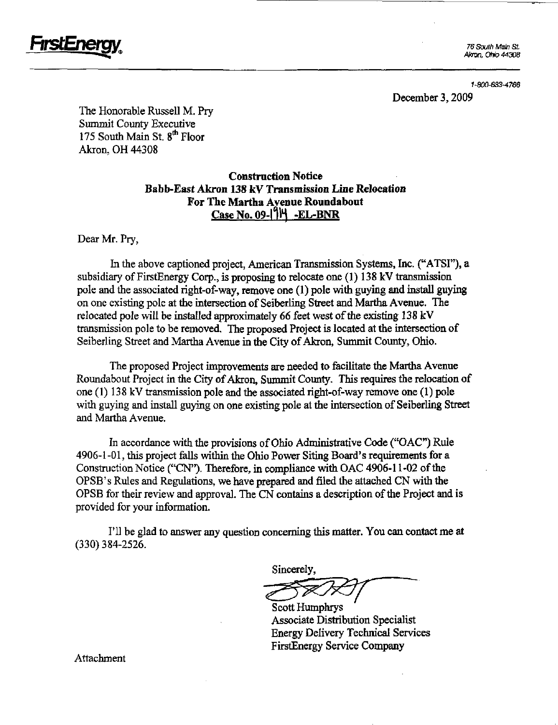

Akron, ONo 44308

1-800-633-4766 December 3,2009

The Honorable Russell M. Pry Summit County Executive 175 South Main St.  $8<sup>th</sup>$  Floor Akron, OH 44308

## Construction Notice Babb-East Akron 138 kV Transmission Line Relocation For The Martha Avenue Roundabout  $Case$  No. 09- $|9H$  -EL-BNR

Dear Mr. Pry,

In the above captioned project, American Transmission Systems, Inc. ("ATSI"), a subsidiary of FirstEnergy Corp., is proposing to relocate one (1) 138 kV transmission pole and the associated right-of-way, remove one (1) pole with guying and install guying on one existing pole at the intersection of Seiberling Street and Martha Avenue. The relocated pole will be installed approximately 66 feet west of the existing 138 kV transmission pole to be removed. The proposed Project is located at the intersection of Seiberling Street and Martha Avenue in the City of Akron, Summit County, Ohio.

The proposed Project improvements are needed to facilitate the Martha Avenue Roundabout Project in the City of Akron, Summit County. This requires the relocation of one (1) 138 kV transmission pole and the associated right-of-way remove one (1) pole with guying and install guying on one existing pole at the intersection of Seiberling Street and Martha Avenue.

In accordance with the provisions of Ohio Administrative Code ("OAC") Rule 4906-1-01, this project falls within the Ohio Power Siting Board's requirements for a Construction Notice ("CN"). Therefore, in compliance with OAC 4906-11-02 of the OPSB's Rules and Regulations, we have prepared and filed the attached CN with the OPSB for their review and approval. The CN contains a description of the Project and is provided for your mformation.

I'll be glad to answer any question conceming this matter. You can contact me at (330)384-2526.

Sincerely,

Scott Humphrys Associate Distribution Specialist Energy Delivery Technical Services FirstEnergy Service Company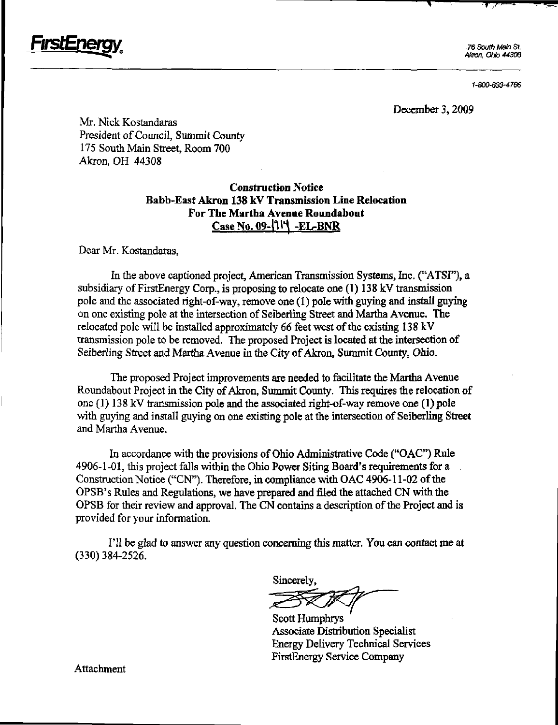

76 South Main St. Akron, Ohio 44308

 $\mathbf{T}$ 

1-800-633-4766

December 3,2009

Mr. Nick Kostandaras President of Council, Summit County 175 South Main Street, Room 700 Akron, OH 44308

## Construction Notice Babb-East Akron 138 kV Transmission Line Relocation For The Martha Avenue Roundabout Case No. 09- $\mathcal{U}$  -EL-BNR

Dear Mr. Kostandaras,

In the above captioned project, American Transmission Systems, Inc. ("ATSF'), a subsidiary of FirstEnergy Corp., is proposing to relocate one (1) 138 kV transmission pole and the associated right-of-way, remove one (1) pole with guying and install guying on one existing pole at the intersection of Seiberling Street and Martha Avenue. The relocated pole will be installed approximately 66 feet west of the existing 138 kV transmission pole to be removed. The proposed Project is located at the intersection of Seiberling Street and Martha Avenue in the City of Akron, Summit County, Ohio.

The proposed Project improvements are needed to facilitate the Martha Avenue Roundabout Project in the City of Akron, Summit County. This requires the relocation of one (1) 138 kV transmission pole and the associated right-of-way remove one (1) pole with guying and install guying on one existing pole at the intersection of Seiberling Street and Martha Avenue.

In accordance with the provisions of Ohio Administrative Code ("OAC") Rule 4906-1-01, this project falls within the Ohio Power Siting Board's requirements for a Construction Notice ("CN"). Therefore, in compliance with OAC 4906-11-02 of the OPSB's Rules and Regulations, we have prepared and filed the attached CN with the OPSB for their review and approval. The CN contains a description of the Project and is provided for your information.

I'll be glad to answer any question conceming this matter. You can contact me at (330)384-2526.

Sincerely,

Scott Humphrys Associate Distribution Specialist Energy DeHvery Technical Services FirstEnergy Service Company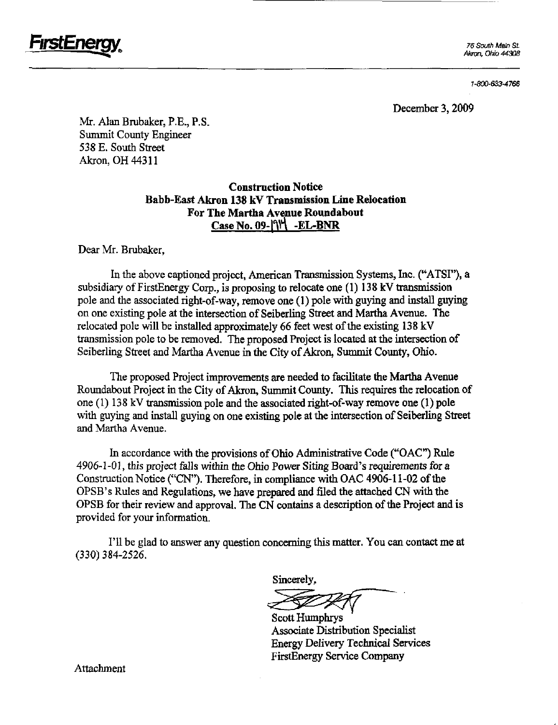

Akron, ONo 44308

1-800-633-4766

December 3,2009

Mr. Alan Brubaker, P.E., P.S. Summit County Engineer 538 E. South Street Akron, OH 44311

## Construction Notice Babb-East Akron 138 kV Transmission Line Relocation For The Martha Avenue Roundabout  $Case$  No. 09- $\left|\uparrow\right|$  -EL-BNR

Dear Mr. Brubaker,

In the above captioned project, American Transmission Systems, Inc. ("ATSI"), a subsidiary of FirstEnergy Corp., is proposing to relocate one (1) 138 kV transmission pole and the associated right-of-way, remove one (1) pole with guymg and install guying on one existuig pole at the intersection of Seiberling Street and Marflia Avenue. The relocated pole will be installed approximately 66 feet west of the existing 138 kV transmission pole to be removed. The proposed Project is located at the intersection of Seiberling Street and Martha Avenue in the City of Akron, Summit County, Ohio.

The proposed Project improvements are needed to facilitate the Martha Avenue Roundabout Project in the City of Akron, Summit County. This requires the relocation of one (1) 138 kV transmission pole and the associated right-of-way remove one (1) pole with guying and install guying on one existing pole at the intersection of Seiberling Street and Martha Avenue.

In accordance with the provisions of Ohio Administrative Code ("OAC") Rule 4906-1-01, this project falls within the Ohio Power Siting Board's requirements for a Construction Notice ("CN"). Therefore, in compliance with OAC 4906-11-02 of the OPSB's Rules and Regulations, we have prepared and filed the attached CN with the OPSB for their review and approval. The CN contains a description of the Project and is provided for your information.

I'll be glad to answer any question conceming this matter. You can contact me at (330)384-2526.

Sincerely,

Scott Humphrys Associate Distribution Specialist Energy Delivery Technical Services FirstEnergy Service Company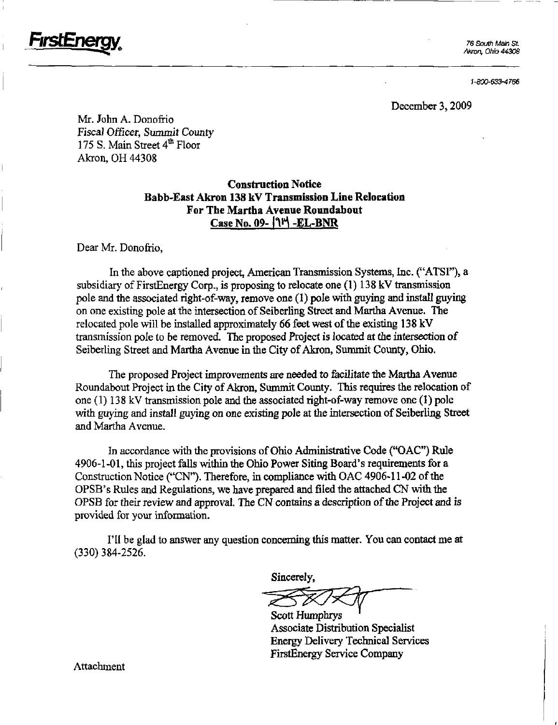

Akron. Ohio 44308

1-800-633-4766

December 3,2009

Mr. John A. Donofiio Fiscal Officer, Summit County 175 S. Main Street 4<sup>th</sup> Floor Akron, OH 44308

## Construction Notice Babb-East Akron 138 kV Transmission Line Relocation For The Martha Avenue Roundabout Case No. 09- $\{1\}$  -EL-BNR

#### Dear Mr. Donofrio,

In the above captioned project, American Transmission Systems, Inc. ("ATSI"), a subsidiary of FirstEnergy Corp., is proposing to relocate one (1) 138 kV transmission pole and the associated right-of-way, remove one (I) pole with guying and install guying on one existing pole at the intersection of Seiberling Street and Martha Avenue. The relocated pole will be installed approximately 66 feet west of the existing 138 kV transmission pole to be removed. The proposed Project is located at the intersection of Seiberling Street and Martha Avenue in the City of Akron, Summit County, Ohio.

The proposed Project improvements are needed to facilitate the Martha Avenue Roundabout Project in the City of Akron, Summit County. This requires the relocation of one (1) 138 kV transmission pole and the associated right-of-way remove one (1) pole with guying and install guying on one existing pole at the intersection of Seiberling Street and Martha Avenue.

In accordance with the provisions of Ohio Administrative Code ("OAC") Rule 4906-1-01, this project falls within the Ohio Power Siting Board's requirements for a Construction Notice ("CN"). Therefore, in compliance with OAC 4906-11-02 of the OPSB's Rules and Regulations, we have prepared and filed the attached CN with the OPSB for their review and approval. The CN contains a description of the Project and is provided for your information.

I'll be glad to answer any question concerning this matter. You can contact me at (330) 384-2526.

Sincerely,

Scott Humphrys Associate Distribution Specialist Energy Delivery Technical Services FirstEnergy Service Company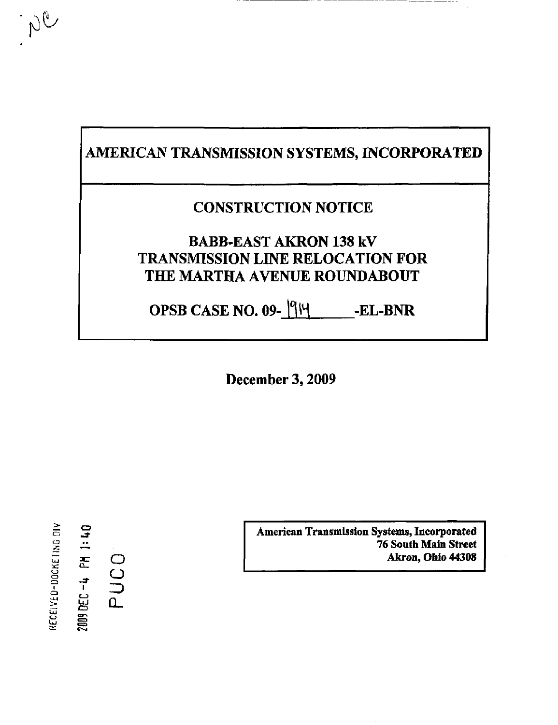## AMERICAN TRANSMISSION SYSTEMS, INCORPORATED

## CONSTRUCTION NOTICE

## BABB-EAST AKRON 138 kV TRANSMISSION LINE RELOCATION FOR THE MARTHA AVENUE ROUNDABOUT

OPSB CASE NO. 09-1914 --EL-BNR

December 3,2009

 $\geq$  $\Xi$ .  $\Xi^{\text{c}}$ ي NE 0-DK O CD  $\frac{4}{1}$ <u>ج</u> or.  $\subset$ O 3  $\mathfrak{a}_-$ 

 $\approx$   $\approx$ 

 $N^{\text{C}}$ 

American Transmission Systems, Incorporated 76 South Main Street Akron, Ohio 44308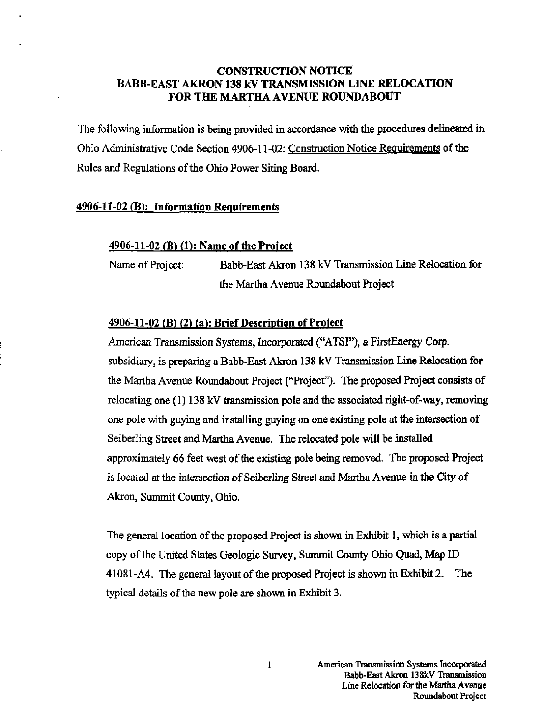## CONSTRUCTION NOTICE BABB-EAST AKRON 138 kV TRANSMISSION LINE RELOCATION FOR THE MARTHA AVENUE ROUNDABOUT

The following information is being provided in accordance with the procedures delineated in Ohio Administrative Code Section 4906-11-02: Construction Notice Requirements of the Rules and Regulations of the Ohio Power Siting Board.

### 4906-11-02 (B): Information Requirements

#### 4906-11-02 (B) (1): Name of the Project

Name of Project: Babb-East Akron 138 kV Transmission Line Relocation for the Martha Avenue Roundabout Project

### $4906-11-02$  (B) (2) (a): Brief Description of Project

American Transmission Systems, Incorporated ("ATSI"), a FirstEnergy Corp. subsidiary, is preparing a Babb-East Akron 138 kV Transmission Line Relocation for the Martha Avenue Roundabout Project ("Projecf). The proposed Project consists of relocating one (1) 138 kV transmission pole and the associated right-of-way, removing one pole with guymg and installing guying on one existing pole at the intersection of Seiberling Street and Martha Avenue. The relocated pole will be installed approximately 66 feet west of the existing pole being removed. The proposed Project is located at the intersection of Seiberling Street and Martha Avenue in the City of Akron, Summit County, Ohio.

The general location of the proposed Project is shown in Exhibit 1, which is a partial copy of the United States Geologic Survey, Summit County Ohio Quad, Map ID 41081-A4. The general layout of the proposed Project is shown in Exhibit 2. The typical details of the new pole are shown in Exhibit 3.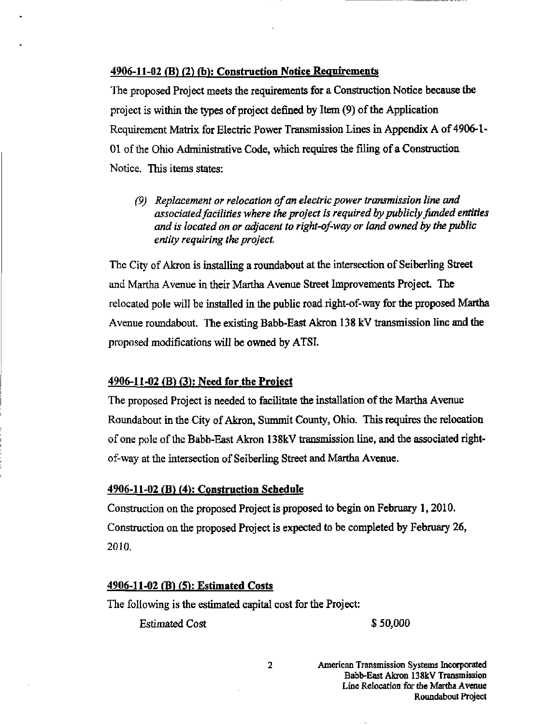#### 4906-11-02 (B) (2) (b): Construction Notice Requirements

The proposed Project meets the requirements for a Construction Notice because the project is within the types of project defined by Item (9) of the Application Requirement Matrix for Electric Power Transmission Lines in Appendix A of 4906-1-01 of the Ohio Administrative Code, which requires the filing of a Construction Notice. This items states:

(9) Replacement or relocation of an electric power transmission line and associated facilities where the project is required by publicly funded entities and is located on or adjacent to right-of-way or land owned by the public entity requiring the project.

The City of Akron is installing a roundabout at the intersection of Seiberling Street and Martha Avenue in their Martha Avenue Street Improvements Project. The relocated pole will be installed m the public road right-of-way for the proposed Martha Avenue roundabout. The existing Babb-East Akron 138 kV transmission line and the proposed modifications wiU be owned by ATSI.

#### $4906-11-02$  (B) (3): Need for the Project

The proposed Project is needed to facilitate the installation of the Martha Avenue Roundabout in the City of Akron, Summit County, Ohio. This requires the relocation of one pole of the Babb-East Akron 138kV transmission line, and the associated rightof-way at the intersection of Seiberling Street and Martha Avenue.

#### 4906-11-02 (B> (4): Construction Schedule

Construction on the proposed Project is proposed to begin on February 1, 2010. Construction on the proposed Project is expected to be completed by February 26, 2010.

### 4906-11-02 (B) (5): Estimated Costs

The following is the estimated capital cost for the Project:

Estimated Cost \$ 50,000

American Transmission Systems Incorporated Babb-East Akron 138kV Transmission Line Relocation for the Martha Avenue Roundabout Project

 $\overline{a}$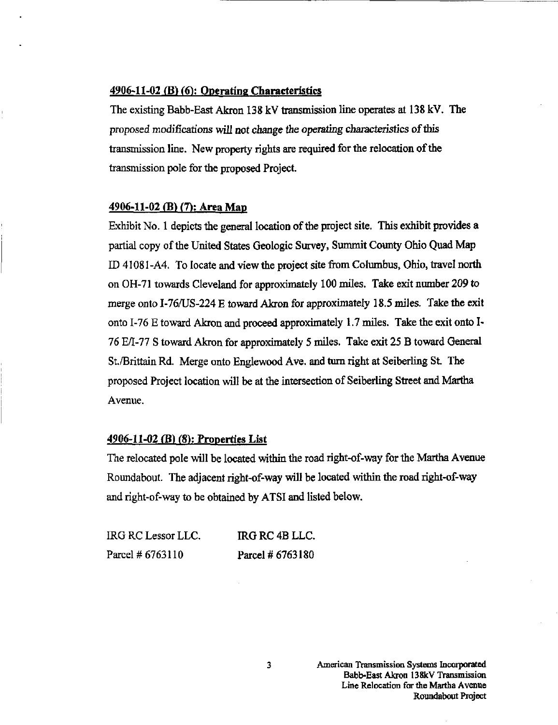## 4906-11-02 (B) (6): Operating Characteristics

The existing Babb-East Akron 138 kV transmission line operates at 138 kV. The proposed modifications will not change the operating characteristics of this transmission line. New property rights are required for the relocation of the transmission pole for the proposed Project.

#### 4906-11-02 (B) (7): Area Map

Exhibit No. 1 depicts the general location of the project site. This exhibit provides a partial copy of the United States Geologic Survey, Summit County Ohio Quad Map ID 41081-A4. To locate and view the project site from Columbus, Ohio, travel north on OH-71 towards Cleveland for approximately 100 miles. Take exit number 209 to merge onto I-76/US-224 E toward Akron for approximately 18.5 miles. Take the exit onto I-76 E toward Akron and proceed approximately 1.7 miles. Take the exit onto I-76 E/I-77 S toward Akron for approximately 5 nules. Take exit 25 B toward General St./Brittain Rd. Merge onto Englewood Ave. and tum right at Seiberling St The proposed Project location will be at the intersection of Seiberling Street and Martha Avenue.

#### 4906-11-02 (B) (S): Properties List

The relocated pole will be located within the road right-of-way for the Martha Avenue Roimdabout. The adjacent right-of-way will be located within the road right-of-way and right-of-way to be obtained by ATSI and listed below.

| IRG RC Lessor LLC. | IRG RC 4B LLC.   |
|--------------------|------------------|
| Parcel # 6763110   | Parcel # 6763180 |

 $\overline{\mathbf{3}}$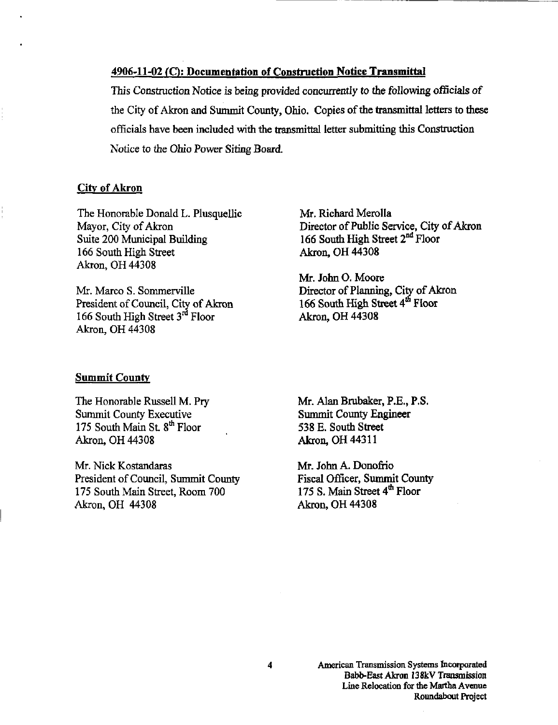## 4906-11-02 CO: Documentation of Construction Notice Transmittal

This Construction Notice is being provided concurrently to the following officials of the City of Akron and Summit County, Ohio. Copies of the transmittal letters to these officials have been included with the transmittal letter submitting this Construction Notice to the Ohio Power Siting Board.

### City of Akron

The Honorable Donald L. Plusquellic Mayor, City of Akron Suite 200 Municipal Building 166 South High Street Akron, OH 44308

Mr. Marco S. Sommerville President of Council, City of Akron 166 South High Street 3<sup>rd</sup> Floor Akron, OH 44308

Mr. Richard Merolla Director of Public Service, City of Akron 166 South High Street  $2<sup>nd</sup>$  Floor Akron, OH 44308

Mr. John O. Moore Director of Planning, City of Akron 166 South High Street  $4^{th}$  Floor Akron, OH 44308

#### **Summit County**

The Honorable Russell M. Pry Summit County Executive 175 South Main St. 8<sup>th</sup> Floor Akron, OH 44308

Mr. Nick Kostandaras President of Council, Summit County 175 South Main Street, Room 700 Akron, OH 44308

Mr. Alaa Brubaker, P.E., P.S. Summit County Engineer 538 E. South Street Akron, OH 44311

Mr. John A. Donofiio Fiscal Officer, Summit County 175 S. Main Street 4<sup>th</sup> Floor Akron, OH 44308

4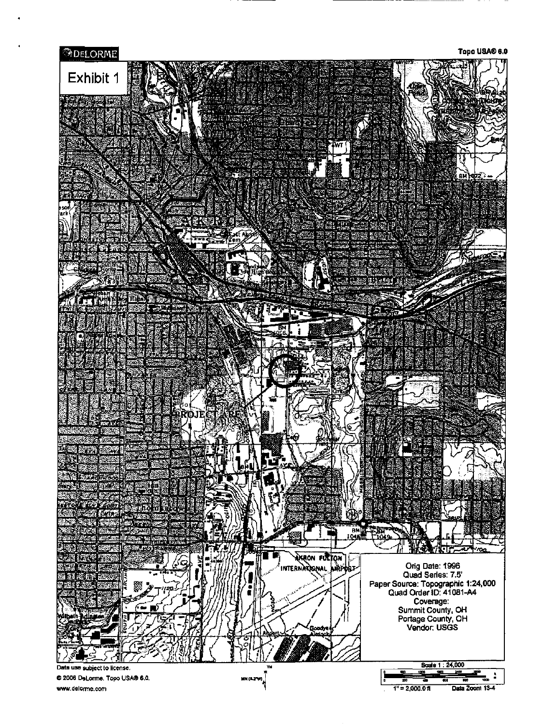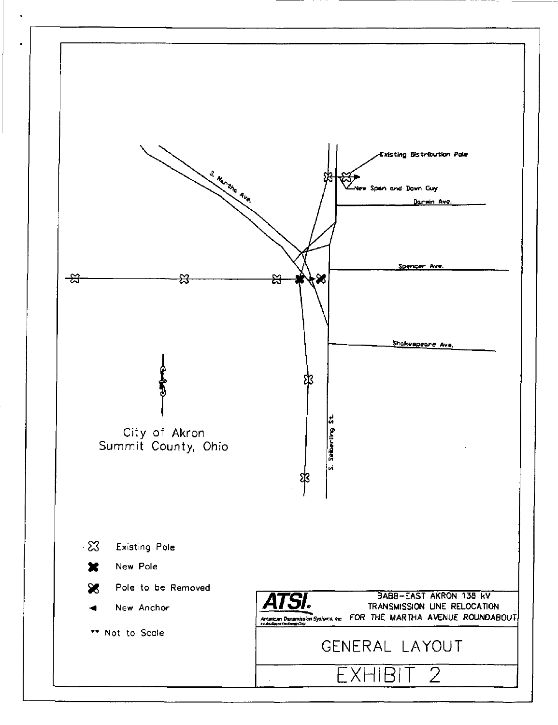